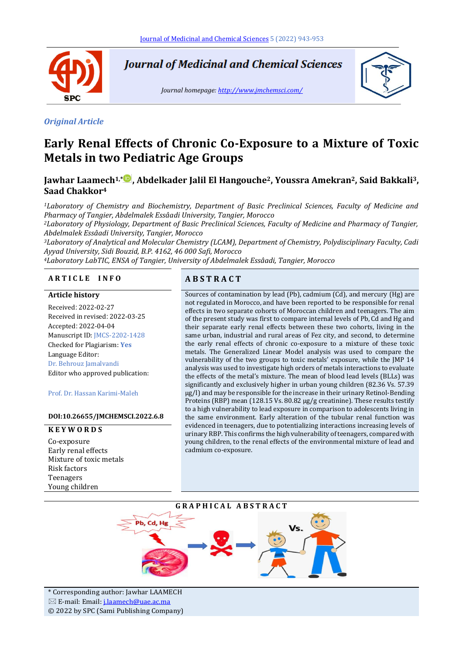

**Journal of Medicinal and Chemical Sciences** 

*Journal homepage[: http://www.jmchemsci.com/](http://www.jmchemsci.com/)*



#### *Original Article*

# **Early Renal Effects of Chronic Co-Exposure to a Mixture of Toxic Metals in two Pediatric Age Groups**

# **Jawhar Laamech1,[\\*](https://www.orcid.org/0000-0001-5922-8083) , Abdelkader Jalil El Hangouche2, Youssra Amekran2, Said Bakkali3, Saad Chakkor<sup>4</sup>**

*<sup>1</sup>Laboratory of Chemistry and Biochemistry, Department of Basic Preclinical Sciences, Faculty of Medicine and Pharmacy of Tangier, Abdelmalek Essâadi University, Tangier, Morocco*

*<sup>2</sup>Laboratory of Physiology, Department of Basic Preclinical Sciences, Faculty of Medicine and Pharmacy of Tangier, Abdelmalek Essâadi University, Tangier, Morocco*

*<sup>3</sup>Laboratory of Analytical and Molecular Chemistry (LCAM), Department of Chemistry, Polydisciplinary Faculty, Cadi Ayyad University, Sidi Bouzid, B.P. 4162, 46 000 Safi, Morocco*

*<sup>4</sup>Laboratory LabTIC, ENSA of Tangier, University of Abdelmalek Essâadi, Tangier, Morocco*

#### **A R T I C L E I N F O A B S T R A C T**

#### **Article history**

Received: 2022-02-27 Received in revised: 2022-03-25 Accepted: 2022-04-04 Manuscript ID: JMCS-2202-1428 Checked for Plagiarism: **Yes** Language Editor: Dr. Behrouz Jamalvandi Editor who approved publication:

Prof. Dr. Hassan Karimi-Maleh

#### **DOI:10.26655/JMCHEMSCI.2022.6.8**

#### **K E Y W O R D S**

Co-exposure Early renal effects Mixture of toxic metals Risk factors Teenagers Young children

Sources of contamination by lead (Pb), cadmium (Cd), and mercury (Hg) are not regulated in Morocco, and have been reported to be responsible for renal effects in two separate cohorts of Moroccan children and teenagers. The aim of the present study was first to compare internal levels of Pb, Cd and Hg and their separate early renal effects between these two cohorts, living in the same urban, industrial and rural areas of Fez city, and second, to determine the early renal effects of chronic co-exposure to a mixture of these toxic metals. The Generalized Linear Model analysis was used to compare the vulnerability of the two groups to toxic metals' exposure, while the JMP 14 analysis was used to investigate high orders of metals interactions to evaluate the effects of the metal's mixture. The mean of blood lead levels (BLLs) was significantly and exclusively higher in urban young children (82.36 Vs. 57.39 µg/l) and may be responsible for the increase in their urinary Retinol-Bending Proteins (RBP) mean (128.15 Vs. 80.82 µg/g creatinine). These results testify to a high vulnerability to lead exposure in comparison to adolescents living in the same environment. Early alteration of the tubular renal function was evidenced in teenagers, due to potentializing interactions increasing levels of urinary RBP. This confirms the high vulnerability of teenagers, compared with young children, to the renal effects of the environmental mixture of lead and cadmium co-exposure.

#### **G R A P H I C A L A B S T R A C T**



\* Corresponding author: Jawhar LAAMECH E-mail: Email[: j.laamech@uae.ac.ma](mailto:j.laamech@uae.ac.ma) © 2022 by SPC (Sami Publishing Company)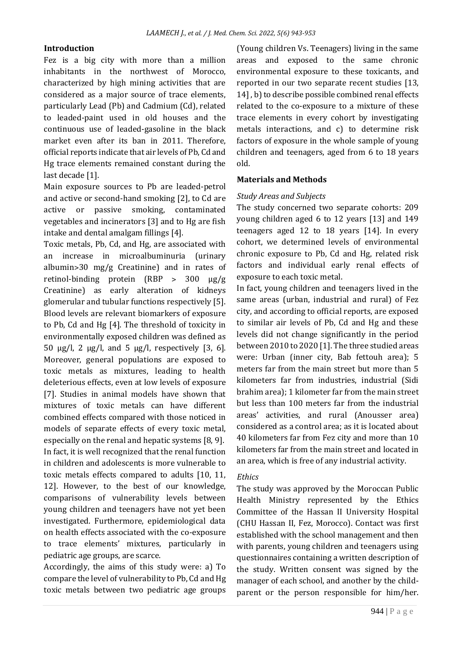#### **Introduction**

Fez is a big city with more than a million inhabitants in the northwest of Morocco, characterized by high mining activities that are considered as a major source of trace elements, particularly Lead (Pb) and Cadmium (Cd), related to leaded-paint used in old houses and the continuous use of leaded-gasoline in the black market even after its ban in 2011. Therefore, official reports indicate that air levels of Pb, Cd and Hg trace elements remained constant during the last decade [1].

Main exposure sources to Pb are leaded-petrol and active or second-hand smoking [2], to Cd are active or passive smoking, contaminated vegetables and incinerators [3] and to Hg are fish intake and dental amalgam fillings [4].

Toxic metals, Pb, Cd, and Hg, are associated with an increase in microalbuminuria (urinary albumin>30 mg/g Creatinine) and in rates of retinol-binding protein (RBP ˃ 300 μg/g Creatinine) as early alteration of kidneys glomerular and tubular functions respectively [5]. Blood levels are relevant biomarkers of exposure to Pb, Cd and Hg [4]. The threshold of toxicity in environmentally exposed children was defined as 50 µg/l, 2 µg/l, and 5 µg/l, respectively [3, 6]. Moreover, general populations are exposed to toxic metals as mixtures, leading to health deleterious effects, even at low levels of exposure [7]. Studies in animal models have shown that mixtures of toxic metals can have different combined effects compared with those noticed in models of separate effects of every toxic metal, especially on the renal and hepatic systems [8, 9]. In fact, it is well recognized that the renal function in children and adolescents is more vulnerable to toxic metals effects compared to adults [10, 11, 12]. However, to the best of our knowledge, comparisons of vulnerability levels between young children and teenagers have not yet been investigated. Furthermore, epidemiological data on health effects associated with the co-exposure to trace elements' mixtures, particularly in pediatric age groups, are scarce.

Accordingly, the aims of this study were: a) To compare the level of vulnerability to Pb, Cd and Hg toxic metals between two pediatric age groups (Young children Vs. Teenagers) living in the same areas and exposed to the same chronic environmental exposure to these toxicants, and reported in our two separate recent studies [13, 14] , b) to describe possible combined renal effects related to the co-exposure to a mixture of these trace elements in every cohort by investigating metals interactions, and c) to determine risk factors of exposure in the whole sample of young children and teenagers, aged from 6 to 18 years old.

### **Materials and Methods**

#### *Study Areas and Subjects*

The study concerned two separate cohorts: 209 young children aged 6 to 12 years [13] and 149 teenagers aged 12 to 18 years [14]. In every cohort, we determined levels of environmental chronic exposure to Pb, Cd and Hg, related risk factors and individual early renal effects of exposure to each toxic metal.

In fact, young children and teenagers lived in the same areas (urban, industrial and rural) of Fez city, and according to official reports, are exposed to similar air levels of Pb, Cd and Hg and these levels did not change significantly in the period between 2010 to 2020 [1]. The three studied areas were: Urban (inner city, Bab fettouh area); 5 meters far from the main street but more than 5 kilometers far from industries, industrial (Sidi brahim area); 1 kilometer far from the main street but less than 100 meters far from the industrial areas' activities, and rural (Anousser area) considered as a control area; as it is located about 40 kilometers far from Fez city and more than 10 kilometers far from the main street and located in an area, which is free of any industrial activity.

#### *Ethics*

The study was approved by the Moroccan Public Health Ministry represented by the Ethics Committee of the Hassan II University Hospital (CHU Hassan II, Fez, Morocco). Contact was first established with the school management and then with parents, young children and teenagers using questionnaires containing a written description of the study. Written consent was signed by the manager of each school, and another by the childparent or the person responsible for him/her.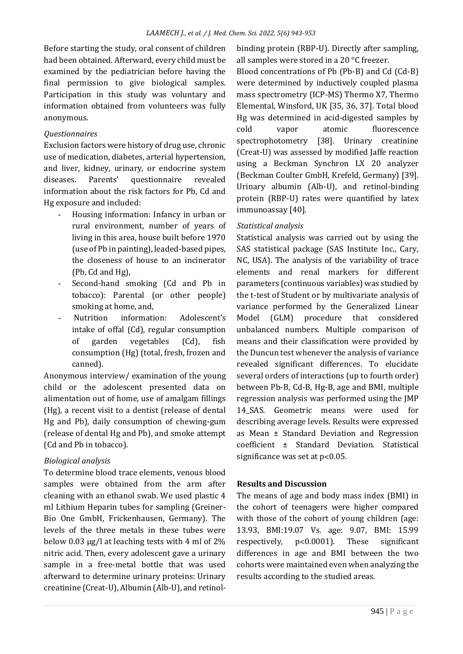Before starting the study, oral consent of children had been obtained. Afterward, every child must be examined by the pediatrician before having the final permission to give biological samples. Participation in this study was voluntary and information obtained from volunteers was fully anonymous.

#### *Questionnaires*

Exclusion factors were history of drug use, chronic use of medication, diabetes, arterial hypertension, and liver, kidney, urinary, or endocrine system diseases. Parents' questionnaire revealed information about the risk factors for Pb, Cd and Hg exposure and included:

- Housing information: Infancy in urban or rural environment, number of years of living in this area, house built before 1970 (use of Pb in painting), leaded-based pipes, the closeness of house to an incinerator (Pb, Cd and Hg),
- Second-hand smoking (Cd and Pb in tobacco): Parental (or other people) smoking at home, and,
- Nutrition information: Adolescent's intake of offal (Cd), regular consumption of garden vegetables (Cd), fish consumption (Hg) (total, fresh, frozen and canned).

Anonymous interview/ examination of the young child or the adolescent presented data on alimentation out of home, use of amalgam fillings (Hg), a recent visit to a dentist (release of dental Hg and Pb), daily consumption of chewing-gum (release of dental Hg and Pb), and smoke attempt (Cd and Pb in tobacco).

## *Biological analysis*

To determine blood trace elements, venous blood samples were obtained from the arm after cleaning with an ethanol swab. We used plastic 4 ml Lithium Heparin tubes for sampling (Greiner-Bio One GmbH, Frickenhausen, Germany). The levels of the three metals in these tubes were below 0.03 μg/l at leaching tests with 4 ml of 2% nitric acid. Then, every adolescent gave a urinary sample in a free-metal bottle that was used afterward to determine urinary proteins: Urinary creatinine (Creat-U), Albumin (Alb-U), and retinol-

binding protein (RBP-U). Directly after sampling, all samples were stored in a 20 °C freezer.

Blood concentrations of Pb (Pb-B) and Cd (Cd-B) were determined by inductively coupled plasma mass spectrometry (ICP-MS) Thermo X7, Thermo Elemental, Winsford, UK [35, 36, 37]. Total blood Hg was determined in acid-digested samples by cold vapor atomic fluorescence spectrophotometry [38]. Urinary creatinine (Creat-U) was assessed by modified Jaffe reaction using a Beckman Synchron LX 20 analyzer (Beckman Coulter GmbH, Krefeld, Germany) [39]. Urinary albumin (Alb-U), and retinol-binding protein (RBP-U) rates were quantified by latex immunoassay [40].

### *Statistical analysis*

Statistical analysis was carried out by using the SAS statistical package (SAS Institute Inc., Cary, NC, USA). The analysis of the variability of trace elements and renal markers for different parameters (continuous variables) was studied by the t-test of Student or by multivariate analysis of variance performed by the Generalized Linear Model (GLM) procedure that considered unbalanced numbers. Multiple comparison of means and their classification were provided by the Duncun test whenever the analysis of variance revealed significant differences. To elucidate several orders of interactions (up to fourth order) between Pb-B, Cd-B, Hg-B, age and BMI, multiple regression analysis was performed using the JMP 14 SAS. Geometric means were used for describing average levels. Results were expressed as Mean ± Standard Deviation and Regression coefficient ± Standard Deviation. Statistical significance was set at p<0.05.

#### **Results and Discussion**

The means of age and body mass index (BMI) in the cohort of teenagers were higher compared with those of the cohort of young children (age: 13.93, BMI:19.07 Vs. age: 9.07, BMI: 15.99 respectively, p˂0.0001). These significant differences in age and BMI between the two cohorts were maintained even when analyzing the results according to the studied areas.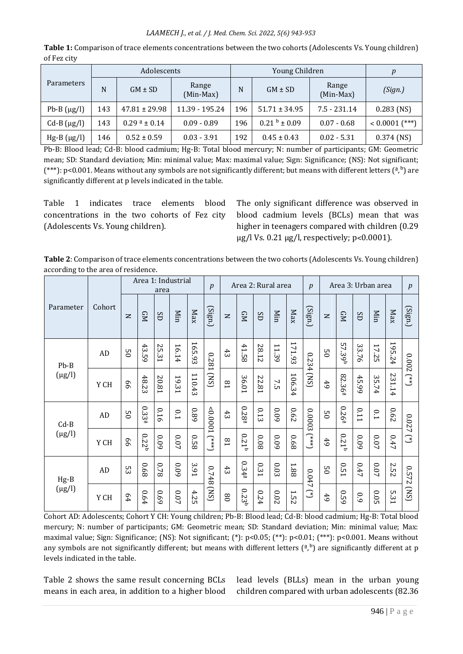#### *LAAMECH J., et al. / J. Med. Chem. Sci. 2022, 5(6) 943-953*

| <b>Parameters</b> |     | Adolescents                |                    |     | Young Children      |                    |                  |  |  |  |  |
|-------------------|-----|----------------------------|--------------------|-----|---------------------|--------------------|------------------|--|--|--|--|
|                   | N   | $GM \pm SD$                | Range<br>(Min-Max) | N   | $GM \pm SD$         | Range<br>(Min-Max) | (Sign.)          |  |  |  |  |
| Pb-B $(\mu g/l)$  | 143 | $47.81 \pm 29.98$          | 11.39 - 195.24     | 196 | $51.71 \pm 34.95$   | $7.5 - 231.14$     | $0.283$ (NS)     |  |  |  |  |
| $Cd-B(\mu g/l)$   | 143 | $0.29^{\text{a}} \pm 0.14$ | $0.09 - 0.89$      | 196 | $0.21^{b} \pm 0.09$ | $0.07 - 0.68$      | $< 0.0001$ (***) |  |  |  |  |
| $Hg-B(\mu g/l)$   | 146 | $0.52 \pm 0.59$            | $0.03 - 3.91$      | 192 | $0.45 \pm 0.43$     | $0.02 - 5.31$      | $0.374$ (NS)     |  |  |  |  |

**Table 1:** Comparison of trace elements concentrations between the two cohorts (Adolescents Vs. Young children) of Fez city

Pb-B: Blood lead; Cd-B: blood cadmium; Hg-B: Total blood mercury; N: number of participants; GM: Geometric mean; SD: Standard deviation; Min: minimal value; Max: maximal value; Sign: Significance; (NS): Not significant; (\*\*\*): p<0.001. Means without any symbols are not significantly different; but means with different letters  $(^{a,b})$  are significantly different at p levels indicated in the table.

Table 1 indicates trace elements blood concentrations in the two cohorts of Fez city (Adolescents Vs. Young children).

The only significant difference was observed in blood cadmium levels (BCLs) mean that was higher in teenagers compared with children (0.29 μg/l Vs. 0.21 μg/l, respectively; p˂0.0001).

**Table 2**: Comparison of trace elements concentrations between the two cohorts (Adolescents Vs. Young children) according to the area of residence.

|                       |        |                |                   | area  | Area 1: Industrial |        | $\boldsymbol{p}$                                                            |                 |                   |       | Area 2: Rural area |        | p                  |                 | Area 3: Urban area |       |          |             | $\boldsymbol{p}$              |
|-----------------------|--------|----------------|-------------------|-------|--------------------|--------|-----------------------------------------------------------------------------|-----------------|-------------------|-------|--------------------|--------|--------------------|-----------------|--------------------|-------|----------|-------------|-------------------------------|
| Parameter             | Cohort | $\mathbf{z}$   | <b>GN</b>         | SD    | Min                | Max    | (Sign.)                                                                     | $\mathbf{z}$    | <b>GN</b>         | SD    | Min                | Max    | (Sign.)            | $\mathbf{z}$    | <b>GN</b>          | SD    | Min      | Max         | $\left( \text{Sign.} \right)$ |
| $Pb-B$                | AD     | SO             | 43.59             | 25.31 | 16.14              | 165.93 | 1820                                                                        | 43              | 41.5<br>$\infty$  | 28.12 | 11.39              | 171.93 | 0.234              | SO              | 57.39 <sup>b</sup> | 33.76 | 17.25    | 195.24      | 7000                          |
| $(\mu g/l)$           | Y CH   | 99             | 48.23             | 20.81 | 19.31              | 110.43 | (SN)                                                                        | $^{18}$         | 36.01             | 22.81 | 7.5                | 106.34 | (SN)               | 6 <sup>4</sup>  | 82.36ª             | 45.99 | 35.74    | 231.14      | $\widehat{L}$                 |
| $Cd-B$<br>$(\mu g/l)$ | AD     | $\overline{c}$ | 0.33 <sup>a</sup> | 0.16  | 0.1                | 680    | 1000'0>                                                                     | 43              | $0.28^{a}$        | 0.13  | 60'0               | 790    | 0.0003             | $\overline{c}$  | $0.26^{\rm a}$     | 0.11  | 0.1      | 790         | 0.02                          |
|                       | Y CH   | 99             | 0.22 <sup>b</sup> | 60'0  | 0.07               | 850    | $\left( \begin{array}{c} \rightarrow \\ \ast \ast \ast \end{array} \right)$ | $^{18}$         | 0.21 <sup>b</sup> | 80'0  | 60'0               | 890    | $(\ast \ast \ast)$ | 6 <sup>4</sup>  | $0.21^{b}$         | 60'0  | $0.07\,$ | 0.47        | ┙<br>$\mathbb{C}$             |
| $Hg-B$<br>$(\mu g/l)$ | AD     | 53             | 890               | 87.0  | 600                | 3.91   | 8+20                                                                        | 43              | 0.344             | 0.31  | 0.03               | 1.88   | 0.047              | $\overline{5}0$ | <b>0.51</b>        | 0.47  | $0.07\,$ | <b>2.52</b> | 0.572                         |
|                       | Y CH   | 64             | 0.64              | 69.0  | 0.07               | 4.25   | (SN)                                                                        | $\overline{08}$ | $0.23^{b}$        | 0.24  | 0.02               | 1.52   | €                  | 6 <sup>4</sup>  | 620                | 0.9   | 0.05     | 5.31        | (SN)                          |

Cohort AD: Adolescents; Cohort Y CH: Young children; Pb-B: Blood lead; Cd-B: blood cadmium; Hg-B: Total blood mercury; N: number of participants; GM: Geometric mean; SD: Standard deviation; Min: minimal value; Max: maximal value; Sign: Significance; (NS): Not significant; (\*): p<0.05; (\*\*): p<0.01; (\*\*\*): p<0.001. Means without any symbols are not significantly different; but means with different letters  $(^a,^b)$  are significantly different at p levels indicated in the table.

Table 2 shows the same result concerning BCLs means in each area, in addition to a higher blood lead levels (BLLs) mean in the urban young children compared with urban adolescents (82.36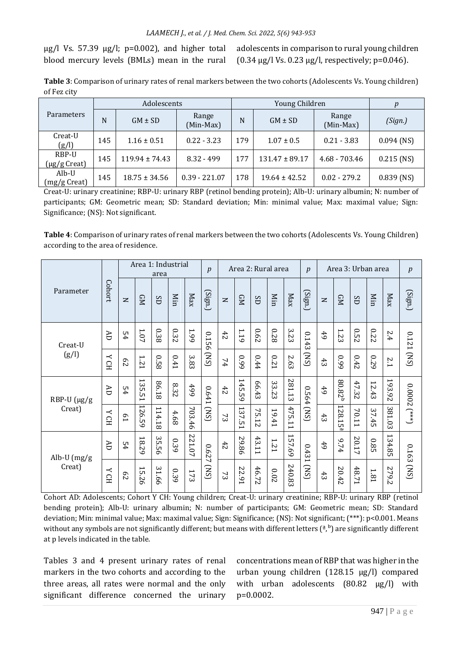μg/l Vs. 57.39 μg/l;  $p=0.002$ ), and higher total blood mercury levels (BMLs) mean in the rural adolescents in comparison to rural young children (0.34 μg/l Vs. 0.23 μg/l, respectively; p=0.046).

**Table 3**: Comparison of urinary rates of renal markers between the two cohorts (Adolescents Vs. Young children) of Fez city

|                       |     | Adolescents        |                    |     | Young Children     |                    |              |
|-----------------------|-----|--------------------|--------------------|-----|--------------------|--------------------|--------------|
| <b>Parameters</b>     | N   | $GM \pm SD$        | Range<br>(Min-Max) | N   | $GM \pm SD$        | Range<br>(Min-Max) | (Sign.)      |
| Creat-U<br>(g/l)      | 145 | $1.16 \pm 0.51$    | $0.22 - 3.23$      | 179 | $1.07 \pm 0.5$     | $0.21 - 3.83$      | $0.094$ (NS) |
| RBP-U<br>(µg/g Creat) | 145 | $119.94 \pm 74.43$ | $8.32 - 499$       | 177 | $131.47 \pm 89.17$ | $4.68 - 703.46$    | $0.215$ (NS) |
| Alb-U<br>(mg/g Creat) | 145 | $18.75 \pm 34.56$  | $0.39 - 221.07$    | 178 | $19.64 \pm 42.52$  | $0.02 - 279.2$     | $0.839$ (NS) |

Creat-U: urinary creatinine; RBP-U: urinary RBP (retinol bending protein); Alb-U: urinary albumin; N: number of participants; GM: Geometric mean; SD: Standard deviation; Min: minimal value; Max: maximal value; Sign: Significance; (NS): Not significant.

**Table 4**: Comparison of urinary rates of renal markers between the two cohorts (Adolescents Vs. Young Children) according to the area of residence.

|                          |                 |                | Area 1: Industrial                | area   |      |            | p                |              | Area 2: Rural area |       |                 |        | $\boldsymbol{p}$ |                | Area 3: Urban area |       |             |        | p              |
|--------------------------|-----------------|----------------|-----------------------------------|--------|------|------------|------------------|--------------|--------------------|-------|-----------------|--------|------------------|----------------|--------------------|-------|-------------|--------|----------------|
| Parameter                | Cohort          | $\geq$         | <b>GM</b>                         | SD     | Min  | Max        | (Sign.)          | $\mathbf{z}$ | <b>GN</b>          | SD    | Min             | Max    | (Sign.)          | $\mathbf{z}$   | <b>GN</b>          | SD    | Min         | Max    | (Sign.)        |
| Creat-U<br>(g/l)         | <b>AD</b>       | 54             | $1.07\,$                          | 0.38   | 0.32 | <b>66T</b> | 0.15<br>$\sigma$ | 42           | 1.19               | 0.62  | 870             | 3.23   | 0.143            | 6 <sup>4</sup> | 1.2<br>ω           | 0.52  | 0.22        | 2.4    | 0.121 (NS)     |
|                          | HOX             | 29             | 121                               | 850    | 0.41 | 3.83       | (SN)             | 74           | 660                | 0.44  | <b>LZ0</b>      | 2.63   | (SN)             | 43             | 660                | 0.42  | 670         | 2.1    |                |
| RBP-U (µg/g<br>Creat)    | Æ               | 54             | 135.5<br>⊶                        | 86.18  | 8.32 | 66\$       | 1641             | 42           | 145.59             | 66.43 | 33.2<br>نت      | 281.13 | 0.564            | 49             | 80.82              | 47.32 | 12.43       | 193.92 | $0.0002$ (***) |
|                          | HO <sub>N</sub> | $\overline{5}$ | 126.59                            | 114.18 | 4.68 | 703.46     | (SN)             | 73           | 137.51             | 75.12 | 19.41           | 475.11 | (SN)             | 43             | 128.1<br>òп<br>נםו | 70.11 | 37.45       | 381.03 |                |
| Alb-U $(mg/g)$<br>Creat) | Æ               | 54             | 18.29                             | 35.56  | 0.39 | 221.07     | 790              | 42           | 29.86              | 43.11 | IZ <sub>1</sub> | 157.69 |                  | 6 <sup>4</sup> | 9.74               | 20.17 | 9.85        | 134.85 |                |
|                          | ≺<br>E          | $^{62}$        | $\overline{\phantom{0}}$<br>15.26 | 31.66  | 0.39 | 173        | ↘<br>(SN)        | 73           | 22.91              | 46.72 | 2.02            | 240.83 | 0.431 [NS]       | 43             | 20.42              | 48.71 | <b>1.81</b> | 279.2  | 0.163 (NS)     |

Cohort AD: Adolescents; Cohort Y CH: Young children; Creat-U: urinary creatinine; RBP-U: urinary RBP (retinol bending protein); Alb-U: urinary albumin; N: number of participants; GM: Geometric mean; SD: Standard deviation; Min: minimal value; Max: maximal value; Sign: Significance; (NS): Not significant; (\*\*\*): p<0.001. Means without any symbols are not significantly different; but means with different letters  $(^a)^b$  are significantly different at p levels indicated in the table.

Tables 3 and 4 present urinary rates of renal markers in the two cohorts and according to the three areas, all rates were normal and the only significant difference concerned the urinary

concentrations mean of RBP that was higher in the urban young children (128.15 μg/l) compared with urban adolescents (80.82 μg/l) with p=0.0002.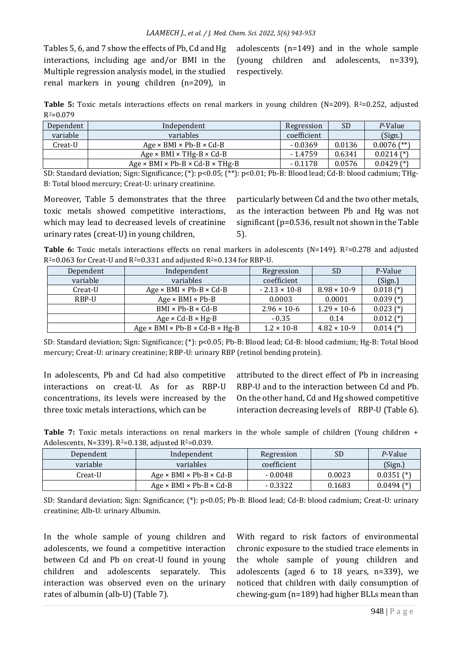Tables 5, 6, and 7 show the effects of Pb, Cd and Hg interactions, including age and/or BMI in the Multiple regression analysis model, in the studied renal markers in young children (n=209), in

adolescents (n=149) and in the whole sample (young children and adolescents, n=339), respectively.

**Table 5:** Toxic metals interactions effects on renal markers in young children  $(N=209)$ .  $R^2=0.252$ , adjusted  $R^2 = 0.079$ 

| Dependent | Independent                                                 | Regression  | <b>SD</b> | P-Value        |
|-----------|-------------------------------------------------------------|-------------|-----------|----------------|
| variable  | <i>variables</i>                                            | coefficient |           | (Sign.)        |
| Creat-U   | $Age \times BMI \times Pb-B \times Cd-B$                    | $-0.0369$   | 0.0136    | $0.0076$ (**)  |
|           | Age $\times$ BMI $\times$ THg-B $\times$ Cd-B               | - 1.4759    | 0.6341    | $0.0214$ $(*)$ |
|           | Age $\times$ BMI $\times$ Pb-B $\times$ Cd-B $\times$ THg-B | $-0.1178$   | 0.0576    | $0.0429$ (*)   |

SD: Standard deviation; Sign: Significance; (\*): p<0.05; (\*\*): p<0.01; Pb-B: Blood lead; Cd-B: blood cadmium; THg-B: Total blood mercury; Creat-U: urinary creatinine.

Moreover, Table 5 demonstrates that the three toxic metals showed competitive interactions, which may lead to decreased levels of creatinine urinary rates (creat-U) in young children,

particularly between Cd and the two other metals, as the interaction between Pb and Hg was not significant (p=0.536, result not shown in the Table 5).

**Table 6:** Toxic metals interactions effects on renal markers in adolescents (N=149). R<sup>2</sup>=0.278 and adjusted  $R^2$ =0.063 for Creat-U and  $R^2$ =0.331 and adjusted  $R^2$ =0.134 for RBP-U.

| Dependent | Independent                                                | Regression             | <b>SD</b>             | P-Value       |
|-----------|------------------------------------------------------------|------------------------|-----------------------|---------------|
| variable  | variables                                                  | coefficient            |                       | (Sign.)       |
| Creat-U   | Age $\times$ BMI $\times$ Pb-B $\times$ Cd-B               | $-2.13 \times 10^{-8}$ | $8.98 \times 10-9$    | $0.018$ (*)   |
| RBP-U     | $Age \times BMI \times Pb-B$                               | 0.0003                 | 0.0001                | $0.039$ (*)   |
|           | $BMI \times Pb-B \times Cd-B$                              | $2.96 \times 10^{-6}$  | $1.29 \times 10^{-6}$ | $0.023$ (*)   |
|           | Age $\times$ Cd-B $\times$ Hg-B                            | $-0.35$                | 0.14                  | $0.012$ (*)   |
|           | Age $\times$ BMI $\times$ Pb-B $\times$ Cd-B $\times$ Hg-B | $1.2 \times 10 - 8$    | $4.82 \times 10 - 9$  | $0.014$ $(*)$ |

SD: Standard deviation; Sign: Significance; (\*): p<0.05; Pb-B: Blood lead; Cd-B: blood cadmium; Hg-B: Total blood mercury; Creat-U: urinary creatinine; RBP-U: urinary RBP (retinol bending protein).

In adolescents, Pb and Cd had also competitive interactions on creat-U. As for as RBP-U concentrations, its levels were increased by the three toxic metals interactions, which can be

attributed to the direct effect of Pb in increasing RBP-U and to the interaction between Cd and Pb. On the other hand, Cd and Hg showed competitive interaction decreasing levels of RBP-U (Table 6).

Table 7: Toxic metals interactions on renal markers in the whole sample of children (Young children + Adolescents, N=339).  $R^2$ =0.138, adjusted  $R^2$ =0.039.

| Dependent | Independent                              | Regression  | <b>SD</b> | P-Value        |
|-----------|------------------------------------------|-------------|-----------|----------------|
| variable  | variables                                | coefficient |           | (Sign.)        |
| Creat-U   | $Age \times BMI \times Pb-B \times Cd-B$ | $-0.0048$   | 0.0023    | $0.0351$ (*)   |
|           | $Age \times BMI \times Pb-B \times Cd-B$ | $-0.3322$   | 0.1683    | $0.0494$ $(*)$ |

SD: Standard deviation; Sign: Significance; (\*): p<0.05; Pb-B: Blood lead; Cd-B: blood cadmium; Creat-U: urinary creatinine; Alb-U: urinary Albumin.

In the whole sample of young children and adolescents, we found a competitive interaction between Cd and Pb on creat-U found in young children and adolescents separately. This interaction was observed even on the urinary rates of albumin (alb-U) (Table 7).

With regard to risk factors of environmental chronic exposure to the studied trace elements in the whole sample of young children and adolescents (aged 6 to 18 years, n=339), we noticed that children with daily consumption of chewing-gum (n=189) had higher BLLs mean than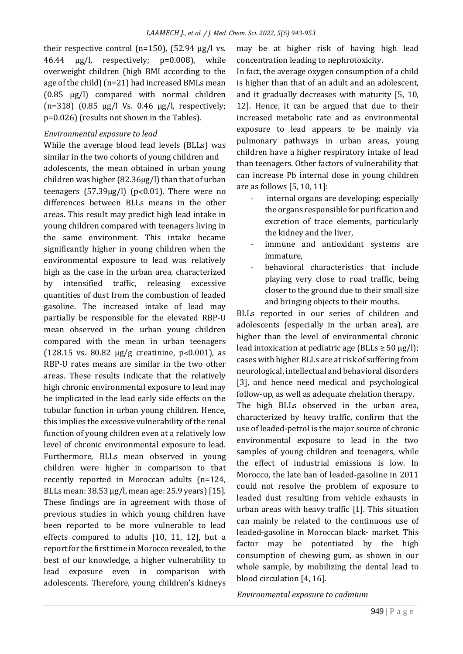their respective control (n=150),  $(52.94 \text{ µg/l vs.})$ 46.44 μg/l, respectively; p=0.008), while overweight children (high BMI according to the age of the child) (n=21) had increased BMLs mean (0.85 μg/l) compared with normal children (n=318) (0.85 μg/l Vs. 0.46 μg/l, respectively; p=0.026) (results not shown in the Tables).

#### *Environmental exposure to lead*

While the average blood lead levels (BLLs) was similar in the two cohorts of young children and adolescents, the mean obtained in urban young children was higher (82.36µg/l) than that of urban teenagers (57.39µg/l) (p˂0.01). There were no differences between BLLs means in the other areas. This result may predict high lead intake in young children compared with teenagers living in the same environment. This intake became significantly higher in young children when the environmental exposure to lead was relatively high as the case in the urban area, characterized by intensified traffic, releasing excessive quantities of dust from the combustion of leaded gasoline. The increased intake of lead may partially be responsible for the elevated RBP-U mean observed in the urban young children compared with the mean in urban teenagers (128.15 vs. 80.82 µg/g creatinine, p˂0.001), as RBP-U rates means are similar in the two other areas. These results indicate that the relatively high chronic environmental exposure to lead may be implicated in the lead early side effects on the tubular function in urban young children. Hence, this implies the excessive vulnerability of the renal function of young children even at a relatively low level of chronic environmental exposure to lead. Furthermore, BLLs mean observed in young children were higher in comparison to that recently reported in Moroccan adults (n=124, BLLs mean: 38.53 µg/l, mean age: 25.9 years) [15]. These findings are in agreement with those of previous studies in which young children have been reported to be more vulnerable to lead effects compared to adults [10, 11, 12], but a report for the first time in Morocco revealed, to the best of our knowledge, a higher vulnerability to lead exposure even in comparison with adolescents. Therefore, young children's kidneys

may be at higher risk of having high lead concentration leading to nephrotoxicity.

In fact, the average oxygen consumption of a child is higher than that of an adult and an adolescent, and it gradually decreases with maturity [5, 10, 12]. Hence, it can be argued that due to their increased metabolic rate and as environmental exposure to lead appears to be mainly via pulmonary pathways in urban areas, young children have a higher respiratory intake of lead than teenagers. Other factors of vulnerability that can increase Pb internal dose in young children are as follows [5, 10, 11]:

- internal organs are developing; especially the organs responsible for purification and excretion of trace elements, particularly the kidney and the liver,
- immune and antioxidant systems are immature,
- behavioral characteristics that include playing very close to road traffic, being closer to the ground due to their small size and bringing objects to their mouths.

BLLs reported in our series of children and adolescents (especially in the urban area), are higher than the level of environmental chronic lead intoxication at pediatric age (BLLs  $\geq$  50 µg/l); cases with higher BLLs are at risk of suffering from neurological, intellectual and behavioral disorders [3], and hence need medical and psychological follow-up, as well as adequate chelation therapy.

The high BLLs observed in the urban area, characterized by heavy traffic, confirm that the use of leaded-petrol is the major source of chronic environmental exposure to lead in the two samples of young children and teenagers, while the effect of industrial emissions is low. In Morocco, the late ban of leaded-gasoline in 2011 could not resolve the problem of exposure to leaded dust resulting from vehicle exhausts in urban areas with heavy traffic [1]. This situation can mainly be related to the continuous use of leaded-gasoline in Moroccan black- market. This factor may be potentiated by the high consumption of chewing gum, as shown in our whole sample, by mobilizing the dental lead to blood circulation [4, 16].

*Environmental exposure to cadmium*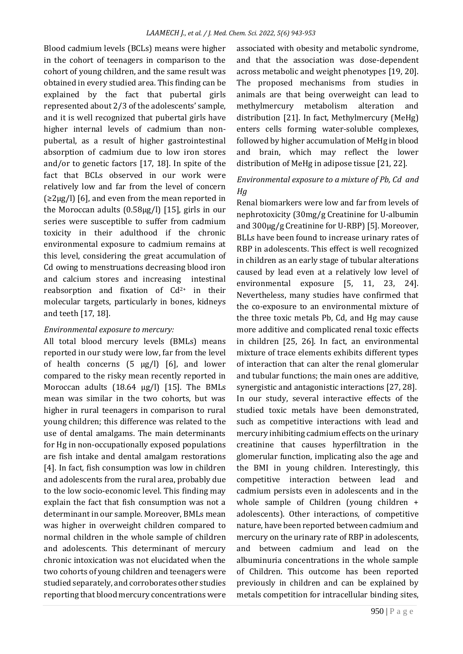Blood cadmium levels (BCLs) means were higher in the cohort of teenagers in comparison to the cohort of young children, and the same result was obtained in every studied area. This finding can be explained by the fact that pubertal girls represented about 2/3 of the adolescents' sample, and it is well recognized that pubertal girls have higher internal levels of cadmium than nonpubertal, as a result of higher gastrointestinal absorption of cadmium due to low iron stores and/or to genetic factors [17, 18]. In spite of the fact that BCLs observed in our work were relatively low and far from the level of concern  $(\geq 2\mu g/l)$  [6], and even from the mean reported in the Moroccan adults (0.58µg/l) [15], girls in our series were susceptible to suffer from cadmium toxicity in their adulthood if the chronic environmental exposure to cadmium remains at this level, considering the great accumulation of Cd owing to menstruations decreasing blood iron and calcium stores and increasing intestinal reabsorption and fixation of Cd<sup>2+</sup> in their molecular targets, particularly in bones, kidneys and teeth [17, 18].

#### *Environmental exposure to mercury:*

All total blood mercury levels (BMLs) means reported in our study were low, far from the level of health concerns  $(5 \text{ µg/l})$   $[6]$ , and lower compared to the risky mean recently reported in Moroccan adults (18.64 µg/l) [15]. The BMLs mean was similar in the two cohorts, but was higher in rural teenagers in comparison to rural young children; this difference was related to the use of dental amalgams. The main determinants for Hg in non-occupationally exposed populations are fish intake and dental amalgam restorations [4]. In fact, fish consumption was low in children and adolescents from the rural area, probably due to the low socio-economic level. This finding may explain the fact that fish consumption was not a determinant in our sample. Moreover, BMLs mean was higher in overweight children compared to normal children in the whole sample of children and adolescents. This determinant of mercury chronic intoxication was not elucidated when the two cohorts of young children and teenagers were studied separately, and corroborates other studies reporting that blood mercury concentrations were

associated with obesity and metabolic syndrome, and that the association was dose-dependent across metabolic and weight phenotypes [19, 20]. The proposed mechanisms from studies in animals are that being overweight can lead to methylmercury metabolism alteration and distribution [21]. In fact, Methylmercury (MeHg) enters cells forming water-soluble complexes, followed by higher accumulation of MeHg in blood and brain, which may reflect the lower distribution of MeHg in adipose tissue [21, 22].

# *Environmental exposure to a mixture of Pb, Cd and Hg*

Renal biomarkers were low and far from levels of nephrotoxicity (30mg/g Creatinine for U-albumin and 300μg/g Creatinine for U-RBP) [5]. Moreover, BLLs have been found to increase urinary rates of RBP in adolescents. This effect is well recognized in children as an early stage of tubular alterations caused by lead even at a relatively low level of environmental exposure [5, 11, 23, 24]. Nevertheless, many studies have confirmed that the co-exposure to an environmental mixture of the three toxic metals Pb, Cd, and Hg may cause more additive and complicated renal toxic effects in children [25, 26]. In fact, an environmental mixture of trace elements exhibits different types of interaction that can alter the renal glomerular and tubular functions; the main ones are additive, synergistic and antagonistic interactions [27, 28]. In our study, several interactive effects of the studied toxic metals have been demonstrated, such as competitive interactions with lead and mercury inhibiting cadmium effects on the urinary creatinine that causes hyperfiltration in the glomerular function, implicating also the age and the BMI in young children. Interestingly, this competitive interaction between lead and cadmium persists even in adolescents and in the whole sample of Children (young children + adolescents). Other interactions, of competitive nature, have been reported between cadmium and mercury on the urinary rate of RBP in adolescents, and between cadmium and lead on the albuminuria concentrations in the whole sample of Children. This outcome has been reported previously in children and can be explained by metals competition for intracellular binding sites,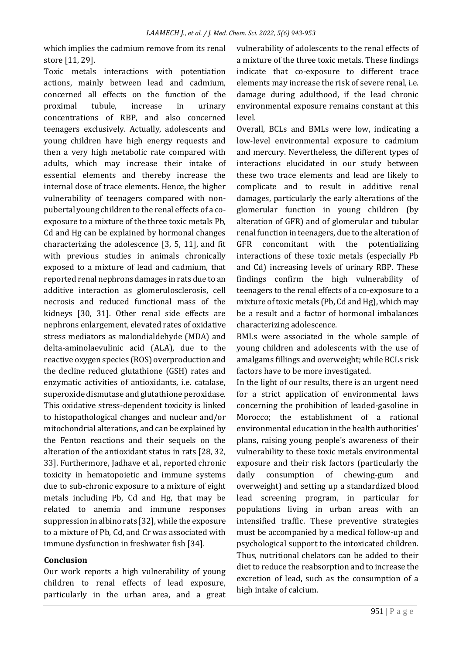which implies the cadmium remove from its renal store [11, 29].

Toxic metals interactions with potentiation actions, mainly between lead and cadmium, concerned all effects on the function of the proximal tubule, increase in urinary concentrations of RBP, and also concerned teenagers exclusively. Actually, adolescents and young children have high energy requests and then a very high metabolic rate compared with adults, which may increase their intake of essential elements and thereby increase the internal dose of trace elements. Hence, the higher vulnerability of teenagers compared with nonpubertal young children to the renal effects of a coexposure to a mixture of the three toxic metals Pb, Cd and Hg can be explained by hormonal changes characterizing the adolescence [3, 5, 11], and fit with previous studies in animals chronically exposed to a mixture of lead and cadmium, that reported renal nephrons damages in rats due to an additive interaction as glomerulosclerosis, cell necrosis and reduced functional mass of the kidneys [30, 31]. Other renal side effects are nephrons enlargement, elevated rates of oxidative stress mediators as malondialdehyde (MDA) and delta-aminolaevulinic acid (ALA), due to the reactive oxygen species (ROS) overproduction and the decline reduced glutathione (GSH) rates and enzymatic activities of antioxidants, i.e. catalase, superoxide dismutase and glutathione peroxidase. This oxidative stress-dependent toxicity is linked to histopathological changes and nuclear and/or mitochondrial alterations, and can be explained by the Fenton reactions and their sequels on the alteration of the antioxidant status in rats [28, 32, 33]. Furthermore, Jadhave et al., reported chronic toxicity in hematopoietic and immune systems due to sub-chronic exposure to a mixture of eight metals including Pb, Cd and Hg, that may be related to anemia and immune responses suppression in albino rats [32], while the exposure to a mixture of Pb, Cd, and Cr was associated with immune dysfunction in freshwater fish [34].

#### **Conclusion**

Our work reports a high vulnerability of young children to renal effects of lead exposure, particularly in the urban area, and a great vulnerability of adolescents to the renal effects of a mixture of the three toxic metals. These findings indicate that co-exposure to different trace elements may increase the risk of severe renal, i.e. damage during adulthood, if the lead chronic environmental exposure remains constant at this level.

Overall, BCLs and BMLs were low, indicating a low-level environmental exposure to cadmium and mercury. Nevertheless, the different types of interactions elucidated in our study between these two trace elements and lead are likely to complicate and to result in additive renal damages, particularly the early alterations of the glomerular function in young children (by alteration of GFR) and of glomerular and tubular renal function in teenagers, due to the alteration of GFR concomitant with the potentializing interactions of these toxic metals (especially Pb and Cd) increasing levels of urinary RBP. These findings confirm the high vulnerability of teenagers to the renal effects of a co-exposure to a mixture of toxic metals (Pb, Cd and Hg), which may be a result and a factor of hormonal imbalances characterizing adolescence.

BMLs were associated in the whole sample of young children and adolescents with the use of amalgams fillings and overweight; while BCLs risk factors have to be more investigated.

In the light of our results, there is an urgent need for a strict application of environmental laws concerning the prohibition of leaded-gasoline in Morocco; the establishment of a rational environmental education in the health authorities' plans, raising young people's awareness of their vulnerability to these toxic metals environmental exposure and their risk factors (particularly the daily consumption of chewing-gum and overweight) and setting up a standardized blood lead screening program, in particular for populations living in urban areas with an intensified traffic. These preventive strategies must be accompanied by a medical follow-up and psychological support to the intoxicated children. Thus, nutritional chelators can be added to their diet to reduce the reabsorption and to increase the excretion of lead, such as the consumption of a high intake of calcium.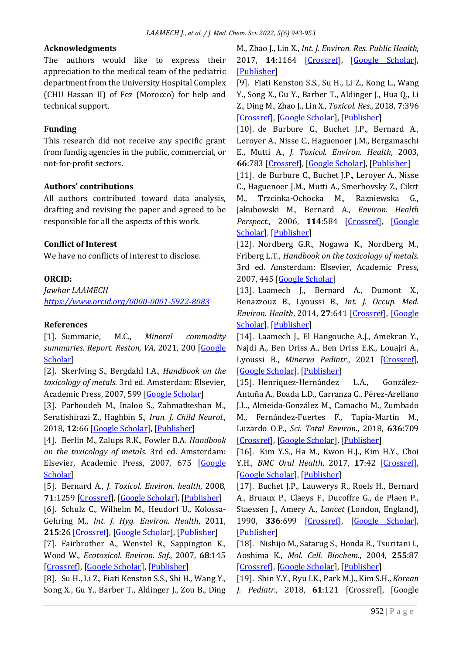### **Acknowledgments**

The authors would like to express their appreciation to the medical team of the pediatric department from the University Hospital Complex (CHU Hassan II) of Fez (Morocco) for help and technical support.

### **Funding**

This research did not receive any specific grant from fundig agencies in the public, commercial, or not-for-profit sectors.

#### **Authors' contributions**

All authors contributed toward data analysis, drafting and revising the paper and agreed to be responsible for all the aspects of this work.

### **Conflict of Interest**

We have no conflicts of interest to disclose.

### **ORCID:**

*Jawhar LAAMECH <https://www.orcid.org/0000-0001-5922-8083>*

#### **References**

[1]. Summarie, M.C., *Mineral commodity summaries. Report. Reston, VA*, 2021, 200 [\[Google](https://scholar.google.com/scholar?hl=en&as_sdt=0%2C5&q=Mineral+commodity+summaries+MC+Summaries+-+Report.+Reston%2C+VA%2C+2021+-+geo-nsdi.er.usgs.gov&btnG=)  [Scholar\]](https://scholar.google.com/scholar?hl=en&as_sdt=0%2C5&q=Mineral+commodity+summaries+MC+Summaries+-+Report.+Reston%2C+VA%2C+2021+-+geo-nsdi.er.usgs.gov&btnG=)

[2]. Skerfving S., Bergdahl I.A., *Handbook on the toxicology of metals.* 3rd ed. Amsterdam: Elsevier, Academic Press, 2007, 599 [\[Google Scholar\]](https://scholar.google.com/scholar?hl=en&as_sdt=0%2C5&q=Handbook+on+the+toxicology+of+metals.+2007+Skerfving+&btnG=)

[3]. Parhoudeh M., Inaloo S., Zahmatkeshan M., Seratishirazi Z., Haghbin S., *Iran. J. Child Neurol.*, 2018, **12**:66 [\[Google Scholar\]](https://scholar.google.com/scholar?hl=de&as_sdt=0%2C5&q=Blood+Lead+Level+in+Children+with+Neurological+Disorders&btnG=), [\[Publisher\]](https://www.ncbi.nlm.nih.gov/pmc/articles/PMC5904740/)

[4]. Berlin M., Zalups R.K., Fowler B.A. *Handbook on the toxicology of metals*. 3rd ed. Amsterdam: Elsevier, Academic Press, 2007, 675 [Google [Scholar\]](https://scholar.google.com/scholar?hl=en&as_sdt=0%2C5&q=Berlin+Handbook+on+the+toxicology+of+metals.+&btnG=)

[5]. Bernard A., *J. Toxicol. Environ. health*, 2008, **71**:1259 [\[Crossref\]](https://doi.org/10.1080/15287390802211885), [\[Google Scholar\]](https://scholar.google.com/scholar?hl=de&as_sdt=0%2C5&q=Biomarkers+of+Metal+Toxicity+in+Population+Studies%3A+Research+Potential+and+Interpretation+Issues&btnG=), [\[Publisher\]](https://www.tandfonline.com/doi/abs/10.1080/15287390802211885)

[6]. Schulz C., Wilhelm M., Heudorf U., Kolossa-Gehring M., *Int. J. Hyg. Environ. Health*, 2011, **215**:26 [\[Crossref\]](https://doi.org/10.1016/j.ijheh.2011.06.007), [\[Google Scholar\]](https://scholar.google.com/scholar?hl=de&as_sdt=0%2C5&q=Update+of+the+reference+and+HBM+values+derived+by+the+German+Human+Biomonitoring+Commission&btnG=), [\[Publisher\]](https://www.sciencedirect.com/science/article/abs/pii/S1438463911000794?via%3Dihub)

[7]. Fairbrother A., Wenstel R., Sappington K., Wood W., *Ecotoxicol. Environ. Saf.*, 2007, **68**:145 [\[Crossref\]](https://doi.org/10.1016/j.ecoenv.2007.03.015), [\[Google Scholar\]](https://scholar.google.com/scholar?hl=de&as_sdt=0%2C5&q=Framework+for+Metals+Risk+Assessment&btnG=), [\[Publisher\]](https://www.sciencedirect.com/science/article/abs/pii/S0147651307000656?via%3Dihub)

[8]. Su H., Li Z., Fiati Kenston S.S., Shi H., Wang Y., Song X., Gu Y., Barber T., Aldinger J., Zou B., Ding M., Zhao J., Lin X., *Int. J. Environ. Res. Public Health*, 2017, **14**:1164 [\[Crossref\]](https://doi.org/10.3390/ijerph14101164), [\[Google Scholar\]](https://scholar.google.com/scholar?hl=de&as_sdt=0%2C5&q=Joint+Toxicity+of+Different+Heavy+Metal+Mixtures+after+a+Short-Term+Oral+Repeated-Administration+in+Rats&btnG=), [\[Publisher\]](https://www.mdpi.com/1660-4601/14/10/1164)

[9]. Fiati Kenston S.S., Su H., Li Z., Kong L., Wang Y., Song X., Gu Y., Barber T., Aldinger J., Hua Q., Li Z., Ding M., Zhao J., Lin X., *Toxicol. Res*., 2018, **7**:396 [\[Crossref\]](https://doi.org/10.1039/c7tx00260b), [\[Google Scholar\]](https://scholar.google.com/scholar?hl=de&as_sdt=0%2C5&q=The+systemic+toxicity+of+heavy+metal+mixtures+in+rats&btnG=), [\[Publisher\]](https://academic.oup.com/toxres/article/7/3/396/5545055)

[10]. de Burbure C., Buchet J.P., Bernard A., Leroyer A., Nisse C., Haguenoer J.M., Bergamaschi E., Mutti A., *J. Toxicol. Environ. Health*, 2003, **66**:783 [\[Crossref\]](https://doi.org/10.1080/15287390306384), [\[Google Scholar\]](https://scholar.google.com/scholar?hl=de&as_sdt=0%2C5&q=Biomarkers+of+Renal+Effects+in+Children+and+Adults+with+Low+Environmental+Exposure+to+Heavy+Metals&btnG=), [\[Publisher\]](https://www.tandfonline.com/doi/abs/10.1080/15287390306384)

[11]. de Burbure C., Buchet J.P., Leroyer A., Nisse C., Haguenoer J.M., Mutti A., Smerhovsky Z., Cikrt M., Trzcinka-Ochocka M., Razniewska G., Jakubowski M., Bernard A., *Environ. Health Perspect.*, 2006, **114**:584 [\[Crossref\]](https://doi.org/10.1289/ehp.8202), [\[Google](https://scholar.google.com/scholar?hl=de&as_sdt=0%2C5&q=Renal+and+Neurologic+Effects+of+Cadmium%2C+Lead%2C+Mercury%2C+and+Arsenic+in+Children%3A+Evidence+of+Early+Effects+and+Multiple+Interactions+at+Environmental+Exposure+Levels&btnG=)  [Scholar\]](https://scholar.google.com/scholar?hl=de&as_sdt=0%2C5&q=Renal+and+Neurologic+Effects+of+Cadmium%2C+Lead%2C+Mercury%2C+and+Arsenic+in+Children%3A+Evidence+of+Early+Effects+and+Multiple+Interactions+at+Environmental+Exposure+Levels&btnG=), [\[Publisher\]](https://ehp.niehs.nih.gov/doi/10.1289/ehp.8202)

[12]. Nordberg G.R., Nogawa K., Nordberg M., Friberg L.T., *Handbook on the toxicology of metals.* 3rd ed. Amsterdam: Elsevier, Academic Press, 2007, 445 [\[Google Scholar\]](https://scholar.google.com/scholar?hl=en&as_sdt=0%2C5&q=+Handbook+on+the+Toxicology+of+Metals.%283rd+eds.%29+GF+Nordberg%2C+BA+Fowler%2C+M+Nordberg%2C+L+Friberg+-+Academic+press%2C+Amesterdam%2C+2007&btnG=)

[13]. Laamech J., Bernard A., Dumont X., Benazzouz B., Lyoussi B., *Int. J. Occup. Med. Environ. Health*, 2014, **27**:641 [\[Crossref\]](https://doi.org/10.2478/s13382-014-0275-7), [\[Google](https://scholar.google.com/scholar?hl=de&as_sdt=0%2C5&q=Blood+lead%2C+cadmium+and+mercury+among+children+from+urban%2C+industrial+and+rural+areas+of+Fez+Boulemane+Region+%28Morocco%29%3A+Relevant+factors+and+early+renal+effects&btnG=)  [Scholar\]](https://scholar.google.com/scholar?hl=de&as_sdt=0%2C5&q=Blood+lead%2C+cadmium+and+mercury+among+children+from+urban%2C+industrial+and+rural+areas+of+Fez+Boulemane+Region+%28Morocco%29%3A+Relevant+factors+and+early+renal+effects&btnG=), [\[Publisher\]](http://ijomeh.eu/Blood-lead-cadmium-and-mercury-among-children-from-urban-industrial-and-rural-areas-of-fez-boulemane-region-morocco-relevant-factors-and-early-renal-effects,2019,0,2.html)

[14]. Laamech J., El Hangouche A.J., Amekran Y., Najdi A., Ben Driss A., Ben Driss E.K., Louajri A., Lyoussi B., Minerva Pediatr., 2021 [\[Crossref\]](https://doi.org/10.23736/S2724-5276.21.06211-X), [\[Google Scholar\]](https://scholar.google.com/scholar?hl=de&as_sdt=0%2C5&q=Risk+factors+and+early+renal+effects+of+environmental+exposure+to+the+trace+elements+in+Moroccan+adolescents&btnG=), [\[Publisher\]](https://www.minervamedica.it/en/journals/minerva-pediatrics/article.php?cod=R15Y9999N00A21053101)

[15]. Henríquez-Hernández L.A., González-Antuña A., Boada L.D., Carranza C., Pérez-Arellano J.L., Almeida-González M., Camacho M., Zumbado M., Fernández-Fuertes F., Tapia-Martín M., Luzardo O.P., *Sci. Total Environ*., 2018, **636**:709 [\[Crossref\]](https://doi.org/10.1016/j.scitotenv.2018.04.311), [\[Google Scholar\]](https://scholar.google.com/scholar?hl=de&as_sdt=0%2C5&q=Pattern+of+blood+concentrations+of+47+elements+in+two+populations+from+the+same+geographical+area+but+with+different+geological+origin+and+lifestyles%3A+Canary+Islands+%28Spain%29+vs.+Morocco&btnG=), [\[Publisher\]](https://www.sciencedirect.com/science/article/abs/pii/S004896971831489X?via%3Dihub)

[16]. Kim Y.S., Ha M., Kwon H.J., Kim H.Y., Choi Y.H., *BMC Oral Health*, 2017, **17**:42 [\[Crossref\]](https://doi.org/10.1186/s12903-017-0335-z), [\[Google Scholar\]](https://scholar.google.com/scholar?hl=de&as_sdt=0%2C5&q=Association+between+Low+blood+lead+levels+and+increased+risk+of+dental+caries+in+children%3A+a+cross-sectional+study&btnG=), [\[Publisher\]](https://bmcoralhealth.biomedcentral.com/articles/10.1186/s12903-017-0335-z)

[17]. Buchet J.P., Lauwerys R., Roels H., Bernard A., Bruaux P., Claeys F., Ducoffre G., de Plaen P., Staessen J., Amery A., *Lancet* (London, England), 1990, **336**:699 [\[Crossref\]](https://doi.org/10.1016/0140-6736(90)92201-r), [\[Google Scholar\]](https://scholar.google.com/scholar?hl=de&as_sdt=0%2C5&q=Renal+effects+of+cadmium+body+burden+of+the+general+population&btnG=), [\[Publisher\]](https://www.thelancet.com/journals/lancet/article/PII0140-6736(90)92201-R/fulltext)

[18]. Nishijo M., Satarug S., Honda R., Tsuritani I., Aoshima K., *Mol. Cell. Biochem.*, 2004, **255**:87 [\[Crossref\]](https://doi.org/10.1023/b:mcbi.0000007264.37170.39), [\[Google Scholar\]](https://scholar.google.com/scholar?hl=de&as_sdt=0%2C5&q=The+gender+differences+in+health+effects+of+environmental+cadmium+exposure+and+potential+mechanisms&btnG=), [\[Publisher\]](https://link.springer.com/article/10.1023/B:MCBI.0000007264.37170.39)

[19]. Shin Y.Y., Ryu I.K., Park M.J., Kim S.H., *Korean J. Pediatr*., 2018, **61**:121 [Crossref], [Google